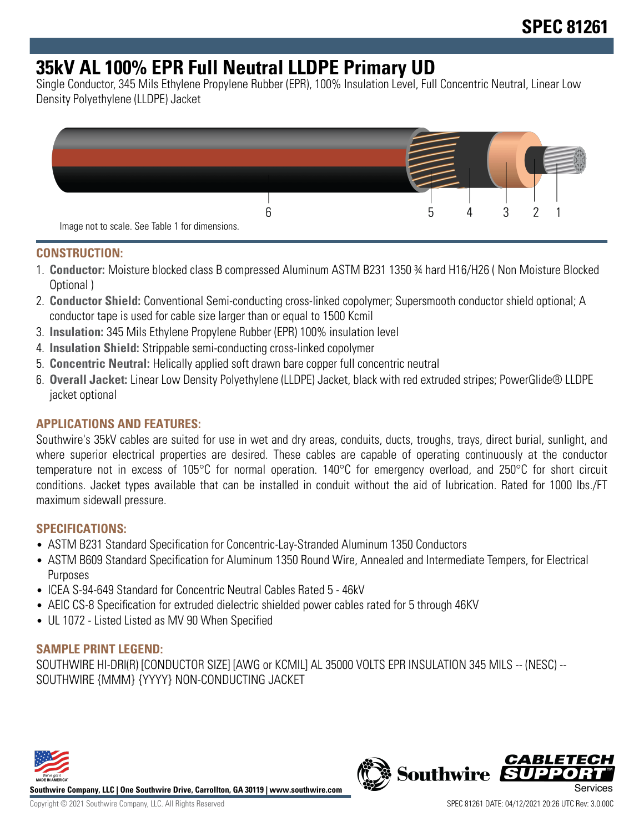## **35kV AL 100% EPR Full Neutral LLDPE Primary UD**

Single Conductor, 345 Mils Ethylene Propylene Rubber (EPR), 100% Insulation Level, Full Concentric Neutral, Linear Low Density Polyethylene (LLDPE) Jacket



#### **CONSTRUCTION:**

- 1. **Conductor:** Moisture blocked class B compressed Aluminum ASTM B231 1350 ¾ hard H16/H26 ( Non Moisture Blocked Optional )
- 2. **Conductor Shield:** Conventional Semi-conducting cross-linked copolymer; Supersmooth conductor shield optional; A conductor tape is used for cable size larger than or equal to 1500 Kcmil
- 3. **Insulation:** 345 Mils Ethylene Propylene Rubber (EPR) 100% insulation level
- 4. **Insulation Shield:** Strippable semi-conducting cross-linked copolymer
- 5. **Concentric Neutral:** Helically applied soft drawn bare copper full concentric neutral
- 6. **Overall Jacket:** Linear Low Density Polyethylene (LLDPE) Jacket, black with red extruded stripes; PowerGlide® LLDPE jacket optional

#### **APPLICATIONS AND FEATURES:**

Southwire's 35kV cables are suited for use in wet and dry areas, conduits, ducts, troughs, trays, direct burial, sunlight, and where superior electrical properties are desired. These cables are capable of operating continuously at the conductor temperature not in excess of 105°C for normal operation. 140°C for emergency overload, and 250°C for short circuit conditions. Jacket types available that can be installed in conduit without the aid of lubrication. Rated for 1000 lbs./FT maximum sidewall pressure.

#### **SPECIFICATIONS:**

- ASTM B231 Standard Specification for Concentric-Lay-Stranded Aluminum 1350 Conductors
- ASTM B609 Standard Specification for Aluminum 1350 Round Wire, Annealed and Intermediate Tempers, for Electrical Purposes
- ICEA S-94-649 Standard for Concentric Neutral Cables Rated 5 46kV
- AEIC CS-8 Specification for extruded dielectric shielded power cables rated for 5 through 46KV
- UL 1072 Listed Listed as MV 90 When Specified

#### **SAMPLE PRINT LEGEND:**

SOUTHWIRE HI-DRI(R) [CONDUCTOR SIZE] [AWG or KCMIL] AL 35000 VOLTS EPR INSULATION 345 MILS -- (NESC) -- SOUTHWIRE {MMM} {YYYY} NON-CONDUCTING JACKET



**Southwire Company, LLC | One Southwire Drive, Carrollton, GA 30119 | www.southwire.com**

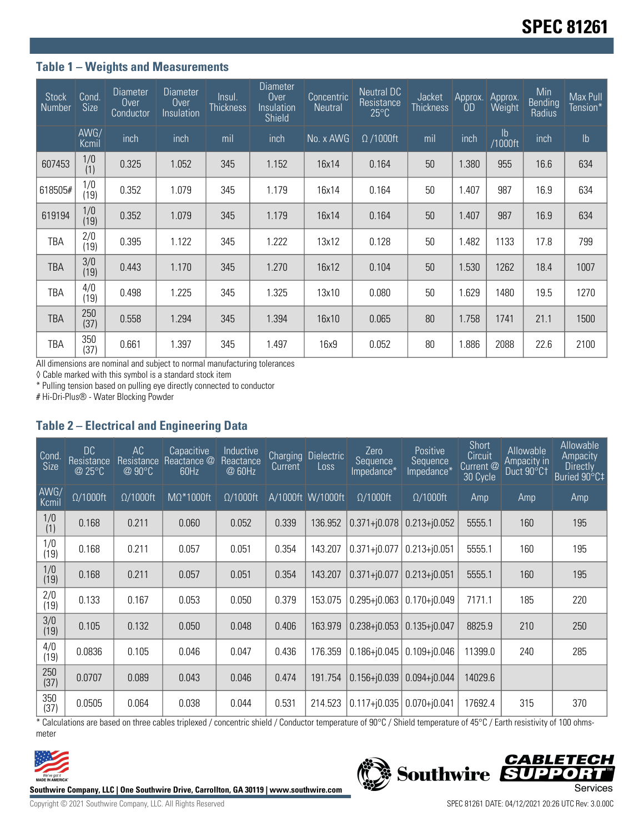#### **Table 1 – Weights and Measurements**

| <b>Stock</b><br>Number | Cond.<br><b>Size</b> | <b>Diameter</b><br>Over<br>Conductor | <b>Diameter</b><br>Over<br>Insulation | Insul.<br><b>Thickness</b> | Diameter<br>$0$ ver<br>Insulation<br>Shield | Concentric<br><b>Neutral</b> | Neutral DC<br>Resistance<br>$25^{\circ}$ C | Jacket<br><b>Thickness</b> | Approx.<br>ÔD | Approx.<br>Weight        | Min<br><b>Bending</b><br>Radius | Max Pull<br>Tension* |
|------------------------|----------------------|--------------------------------------|---------------------------------------|----------------------------|---------------------------------------------|------------------------------|--------------------------------------------|----------------------------|---------------|--------------------------|---------------------------------|----------------------|
|                        | AWG/<br>Kcmil        | inch                                 | inch                                  | mil                        | inch                                        | No. x AWG                    | $\Omega$ /1000ft                           | mil                        | inch          | $\mathsf{lb}$<br>/1000ft | inch                            | $\mathsf{lb}$        |
| 607453                 | 1/0<br>(1)           | 0.325                                | 1.052                                 | 345                        | 1.152                                       | 16x14                        | 0.164                                      | 50                         | 1.380         | 955                      | 16.6                            | 634                  |
| 618505#                | 1/0<br>(19)          | 0.352                                | 1.079                                 | 345                        | 1.179                                       | 16x14                        | 0.164                                      | 50                         | 1.407         | 987                      | 16.9                            | 634                  |
| 619194                 | 1/0<br>(19)          | 0.352                                | 1.079                                 | 345                        | 1.179                                       | 16x14                        | 0.164                                      | 50                         | 1.407         | 987                      | 16.9                            | 634                  |
| <b>TBA</b>             | 2/0<br>(19)          | 0.395                                | 1.122                                 | 345                        | 1.222                                       | 13x12                        | 0.128                                      | 50                         | 1.482         | 1133                     | 17.8                            | 799                  |
| TBA                    | 3/0<br>(19)          | 0.443                                | 1.170                                 | 345                        | 1.270                                       | 16x12                        | 0.104                                      | 50                         | 1.530         | 1262                     | 18.4                            | 1007                 |
| TBA                    | 4/0<br>(19)          | 0.498                                | 1.225                                 | 345                        | 1.325                                       | 13x10                        | 0.080                                      | 50                         | 1.629         | 1480                     | 19.5                            | 1270                 |
| TBA                    | 250<br>(37)          | 0.558                                | 1.294                                 | 345                        | 1.394                                       | 16x10                        | 0.065                                      | 80                         | 1.758         | 1741                     | 21.1                            | 1500                 |
| TBA                    | 350<br>(37)          | 0.661                                | 1.397                                 | 345                        | 1.497                                       | 16x9                         | 0.052                                      | 80                         | 1.886         | 2088                     | 22.6                            | 2100                 |

All dimensions are nominal and subject to normal manufacturing tolerances

◊ Cable marked with this symbol is a standard stock item

\* Pulling tension based on pulling eye directly connected to conductor

# Hi-Dri-Plus® - Water Blocking Powder

#### **Table 2 – Electrical and Engineering Data**

| Cond<br><b>Size</b> | <b>DC</b><br>Resistance<br>@ 25 $^{\circ}$ C | AC<br>Resistance<br>@ 90°C | Capacitive<br>Reactance @<br>60Hz | Inductive<br>Reactance<br>@ 60Hz | Current | Charging Dielectric<br>Loss | Zero<br>Sequence<br>Impedance* | Positive<br>Sequence<br>Impedance* | Short<br>Circuit<br>Current <sup>@</sup><br>30 Cycle | Allowable<br>Ampacity in<br>Duct 90°C1 | Allowable<br>Ampacity<br><b>Directly</b><br>Buried 90°C‡ |
|---------------------|----------------------------------------------|----------------------------|-----------------------------------|----------------------------------|---------|-----------------------------|--------------------------------|------------------------------------|------------------------------------------------------|----------------------------------------|----------------------------------------------------------|
| AWG/<br>Kcmil       | $\Omega/1000$ ft                             | $\Omega/1000$ ft           | $M\Omega^*1000ft$                 | $\Omega/1000$ ft                 |         | A/1000ft W/1000ft           | $\Omega/1000$ ft               | $\Omega/1000$ ft                   | Amp                                                  | Amp                                    | Amp                                                      |
| 1/0<br>(1)          | 0.168                                        | 0.211                      | 0.060                             | 0.052                            | 0.339   | 136.952                     | $0.371 + 0.078$                | $0.213 + j0.052$                   | 5555.1                                               | 160                                    | 195                                                      |
| 1/0<br>(19)         | 0.168                                        | 0.211                      | 0.057                             | 0.051                            | 0.354   | 143.207                     | $0.371 + j0.077$               | $0.213 + j0.051$                   | 5555.1                                               | 160                                    | 195                                                      |
| 1/0<br>(19)         | 0.168                                        | 0.211                      | 0.057                             | 0.051                            | 0.354   | 143.207                     | $0.371 + j0.077$               | $0.213 + j0.051$                   | 5555.1                                               | 160                                    | 195                                                      |
| 2/0<br>(19)         | 0.133                                        | 0.167                      | 0.053                             | 0.050                            | 0.379   | 153.075                     | $0.295 + 0.063$                | $0.170 + j0.049$                   | 7171.1                                               | 185                                    | 220                                                      |
| 3/0<br>(19)         | 0.105                                        | 0.132                      | 0.050                             | 0.048                            | 0.406   | 163.979                     | $0.238 + 0.053$                | $0.135 + j0.047$                   | 8825.9                                               | 210                                    | 250                                                      |
| 4/0<br>(19)         | 0.0836                                       | 0.105                      | 0.046                             | 0.047                            | 0.436   | 176.359                     | $0.186 + 0.045$                | $0.109 + j0.046$                   | 11399.0                                              | 240                                    | 285                                                      |
| 250<br>(37)         | 0.0707                                       | 0.089                      | 0.043                             | 0.046                            | 0.474   | 191.754                     | $0.156 + 0.039$                | $0.094 + 0.044$                    | 14029.6                                              |                                        |                                                          |
| 350<br>(37)         | 0.0505                                       | 0.064                      | 0.038                             | 0.044                            | 0.531   | 214.523                     | $0.117 + 0.035$                | $0.070 + j0.041$                   | 17692.4                                              | 315                                    | 370                                                      |

\* Calculations are based on three cables triplexed / concentric shield / Conductor temperature of 90°C / Shield temperature of 45°C / Earth resistivity of 100 ohmsmeter

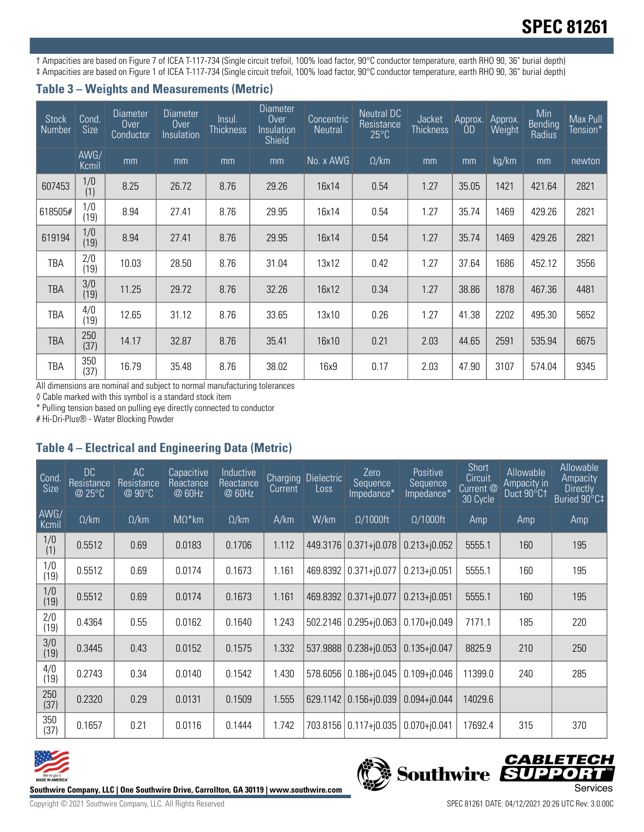# **SPEC 81261**

† Ampacities are based on Figure 7 of ICEA T-117-734 (Single circuit trefoil, 100% load factor, 90°C conductor temperature, earth RHO 90, 36" burial depth) ‡ Ampacities are based on Figure 1 of ICEA T-117-734 (Single circuit trefoil, 100% load factor, 90°C conductor temperature, earth RHO 90, 36" burial depth)

#### **Table 3 – Weights and Measurements (Metric)**

| <b>Stock</b><br>Number | Cond.<br><b>Size</b> | <b>Diameter</b><br>Over<br>Conductor | <b>Diameter</b><br>Over<br>Insulation | Insul.<br><b>Thickness</b> | <b>Diameter</b><br>Over<br>Insulation<br>Shield | Concentric<br><b>Neutral</b> | <b>Neutral DC</b><br>Resistance<br>$25^{\circ}$ C | Jacket<br><b>Thickness</b> | Approx.<br><b>OD</b> | Approx.<br>Weight | Min<br>Bending<br>Radius | Max Pull<br>Tension* |
|------------------------|----------------------|--------------------------------------|---------------------------------------|----------------------------|-------------------------------------------------|------------------------------|---------------------------------------------------|----------------------------|----------------------|-------------------|--------------------------|----------------------|
|                        | AWG/<br>Kcmil        | mm                                   | mm                                    | mm                         | mm                                              | No. x AWG                    | $\Omega$ /km                                      | mm                         | mm                   | kg/km             | mm                       | newton               |
| 607453                 | 1/0<br>(1)           | 8.25                                 | 26.72                                 | 8.76                       | 29.26                                           | 16x14                        | 0.54                                              | 1.27                       | 35.05                | 1421              | 421.64                   | 2821                 |
| 618505#                | 1/0<br>(19)          | 8.94                                 | 27.41                                 | 8.76                       | 29.95                                           | 16x14                        | 0.54                                              | 1.27                       | 35.74                | 1469              | 429.26                   | 2821                 |
| 619194                 | 1/0<br>(19)          | 8.94                                 | 27.41                                 | 8.76                       | 29.95                                           | 16x14                        | 0.54                                              | 1.27                       | 35.74                | 1469              | 429.26                   | 2821                 |
| <b>TBA</b>             | 2/0<br>(19)          | 10.03                                | 28.50                                 | 8.76                       | 31.04                                           | 13x12                        | 0.42                                              | 1.27                       | 37.64                | 1686              | 452.12                   | 3556                 |
| <b>TBA</b>             | 3/0<br>(19)          | 11.25                                | 29.72                                 | 8.76                       | 32.26                                           | 16x12                        | 0.34                                              | 1.27                       | 38.86                | 1878              | 467.36                   | 4481                 |
| <b>TBA</b>             | 4/0<br>(19)          | 12.65                                | 31.12                                 | 8.76                       | 33.65                                           | 13x10                        | 0.26                                              | 1.27                       | 41.38                | 2202              | 495.30                   | 5652                 |
| TBA                    | 250<br>(37)          | 14.17                                | 32.87                                 | 8.76                       | 35.41                                           | 16x10                        | 0.21                                              | 2.03                       | 44.65                | 2591              | 535.94                   | 6675                 |
| TBA                    | 350<br>(37)          | 16.79                                | 35.48                                 | 8.76                       | 38.02                                           | 16x9                         | 0.17                                              | 2.03                       | 47.90                | 3107              | 574.04                   | 9345                 |

All dimensions are nominal and subject to normal manufacturing tolerances

◊ Cable marked with this symbol is a standard stock item

\* Pulling tension based on pulling eye directly connected to conductor

# Hi-Dri-Plus® - Water Blocking Powder

### **Table 4 – Electrical and Engineering Data (Metric)**

| Cond<br><b>Size</b> | DC<br>Resistance<br>@ 25°C | AC<br>Resistance<br>$@90^{\circ}C$ | Capacitive<br>Reactance<br>@ 60Hz | Inductive<br>Reactance<br>@ 60Hz | Current | Charging Dielectric<br>Loss | Zero<br>Sequence<br>Impedance* | Positive<br>Sequence<br>Impedance* | <b>Short</b><br>Circuit<br>Current <sup><sup>@</sup></sup><br>30 Cycle | Allowable<br>Ampacity in<br>Duct 90°C1 | Allowable<br>Ampacity<br><b>Directly</b><br>Buried 90°C‡ |
|---------------------|----------------------------|------------------------------------|-----------------------------------|----------------------------------|---------|-----------------------------|--------------------------------|------------------------------------|------------------------------------------------------------------------|----------------------------------------|----------------------------------------------------------|
| AWG/<br>Kcmil       | $\Omega$ /km               | $\Omega$ /km                       | $M\Omega^*$ km                    | $\Omega$ /km                     | A/km    | W/km                        | $\Omega/1000$ ft               | $\Omega/1000$ ft                   | Amp                                                                    | Amp                                    | Amp                                                      |
| 1/0<br>(1)          | 0.5512                     | 0.69                               | 0.0183                            | 0.1706                           | 1.112   | 449.3176                    | $0.371 + j0.078$               | $0.213 + j0.052$                   | 5555.1                                                                 | 160                                    | 195                                                      |
| 1/0<br>(19)         | 0.5512                     | 0.69                               | 0.0174                            | 0.1673                           | 1.161   | 469.8392                    | $0.371 + j0.077$               | $0.213 + j0.051$                   | 5555.1                                                                 | 160                                    | 195                                                      |
| 1/0<br>(19)         | 0.5512                     | 0.69                               | 0.0174                            | 0.1673                           | 1.161   | 469.8392                    | $0.371 + j0.077$               | $0.213 + 0.051$                    | 5555.1                                                                 | 160                                    | 195                                                      |
| 2/0<br>(19)         | 0.4364                     | 0.55                               | 0.0162                            | 0.1640                           | 1.243   | 502.2146                    | $0.295 + 0.063$                | $0.170 + j0.049$                   | 7171.1                                                                 | 185                                    | 220                                                      |
| 3/0<br>(19)         | 0.3445                     | 0.43                               | 0.0152                            | 0.1575                           | 1.332   | 537.9888                    | $0.238 + j0.053$               | $0.135 + j0.047$                   | 8825.9                                                                 | 210                                    | 250                                                      |
| 4/0<br>(19)         | 0.2743                     | 0.34                               | 0.0140                            | 0.1542                           | 1.430   | 578.6056                    | $0.186 + 0.045$                | $0.109 + 0.046$                    | 11399.0                                                                | 240                                    | 285                                                      |
| 250<br>(37)         | 0.2320                     | 0.29                               | 0.0131                            | 0.1509                           | 1.555   | 629.1142                    | $0.156 + j0.039$               | $0.094 + 0.044$                    | 14029.6                                                                |                                        |                                                          |
| 350<br>(37)         | 0.1657                     | 0.21                               | 0.0116                            | 0.1444                           | 1.742   | 703.8156                    | $0.117 + 0.035$                | $0.070 + j0.041$                   | 17692.4                                                                | 315                                    | 370                                                      |



Southwire Company, LLC | One Southwire Drive, Carrollton, GA 30119 | www.southwire.com<br>Services

**CABLETECH**